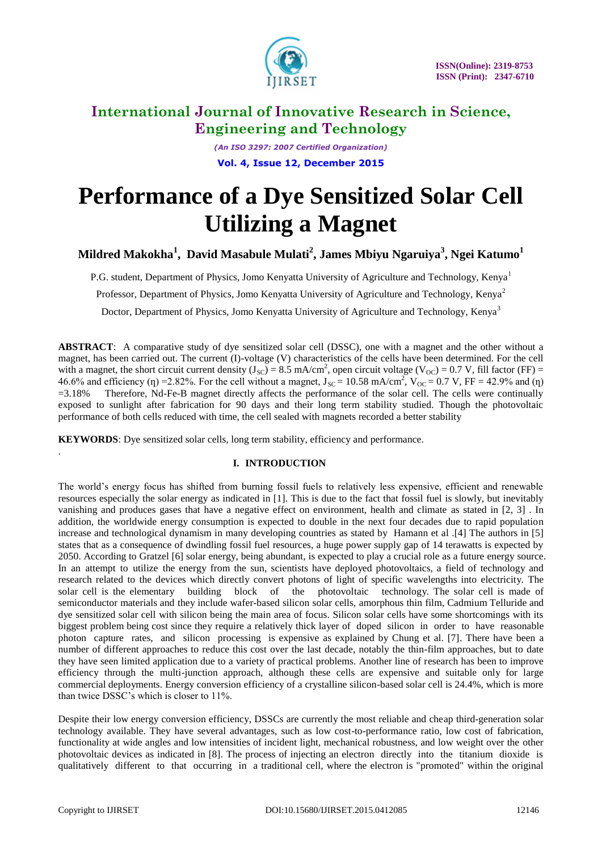

*(An ISO 3297: 2007 Certified Organization)* **Vol. 4, Issue 12, December 2015**

# **Performance of a Dye Sensitized Solar Cell Utilizing a Magnet**

**Mildred Makokha<sup>1</sup> , David Masabule Mulati<sup>2</sup> , James Mbiyu Ngaruiya<sup>3</sup> , Ngei Katumo<sup>1</sup>**

P.G. student, Department of Physics, Jomo Kenyatta University of Agriculture and Technology, Kenya<sup>1</sup>

Professor, Department of Physics, Jomo Kenyatta University of Agriculture and Technology, Kenya<sup>2</sup>

Doctor, Department of Physics, Jomo Kenyatta University of Agriculture and Technology, Kenya<sup>3</sup>

**ABSTRACT**: A comparative study of dye sensitized solar cell (DSSC), one with a magnet and the other without a magnet, has been carried out. The current (I)-voltage (V) characteristics of the cells have been determined. For the cell with a magnet, the short circuit current density ( $J_{SC}$ ) = 8.5 mA/cm<sup>2</sup>, open circuit voltage (V<sub>OC</sub>) = 0.7 V, fill factor (FF) = 46.6% and efficiency (n) = 2.82%. For the cell without a magnet,  $J_{SC} = 10.58$  mA/cm<sup>2</sup>,  $V_{OC} = 0.7$  V, FF = 42.9% and (n) =3.18% Therefore, Nd-Fe-B magnet directly affects the performance of the solar cell. The cells were continually exposed to sunlight after fabrication for 90 days and their long term stability studied. Though the photovoltaic performance of both cells reduced with time, the cell sealed with magnets recorded a better stability

**KEYWORDS**: Dye sensitized solar cells, long term stability, efficiency and performance.

### **I. INTRODUCTION**

The world's energy focus has shifted from burning fossil fuels to relatively less expensive, efficient and renewable resources especially the solar energy as indicated in [1]. This is due to the fact that fossil fuel is slowly, but inevitably vanishing and produces gases that have a negative effect on environment, health and climate as stated in [2, 3] . In addition, the worldwide energy consumption is expected to double in the next four decades due to rapid population increase and technological dynamism in many developing countries as stated by Hamann et al .[4] The authors in [5] states that as a consequence of dwindling fossil fuel resources, a huge power supply gap of 14 terawatts is expected by 2050. According to Gratzel [6] solar energy, being abundant, is expected to play a crucial role as a future energy source. In an attempt to utilize the energy from the sun, scientists have deployed photovoltaics, a field of technology and research related to the devices which directly convert photons of light of specific wavelengths into electricity. The solar cell is the elementary building block of the photovoltaic technology. The solar cell is made of semiconductor materials and they include wafer-based silicon solar cells, amorphous thin film, Cadmium Telluride and dye sensitized solar cell with silicon being the main area of focus. Silicon solar cells have some shortcomings with its biggest problem being cost since they require a relatively thick layer of doped silicon in order to have reasonable photon capture rates, and silicon processing is expensive as explained by Chung et al. [7]. There have been a number of different approaches to reduce this cost over the last decade, notably the thin-film approaches, but to date they have seen limited application due to a variety of practical problems. Another line of research has been to improve efficiency through the multi-junction approach, although these cells are expensive and suitable only for large commercial deployments. Energy conversion efficiency of a crystalline silicon-based solar cell is 24.4%, which is more than twice DSSC's which is closer to 11%.

Despite their low energy conversion efficiency, DSSCs are currently the most reliable and cheap third-generation solar technology available. They have several advantages, such as low cost-to-performance ratio, low cost of fabrication, functionality at wide angles and low intensities of incident light, mechanical robustness, and low weight over the other photovoltaic devices as indicated in [8]. The process of injecting an electron directly into the titanium dioxide is qualitatively different to that occurring in a traditional cell, where the electron is "promoted" within the original

.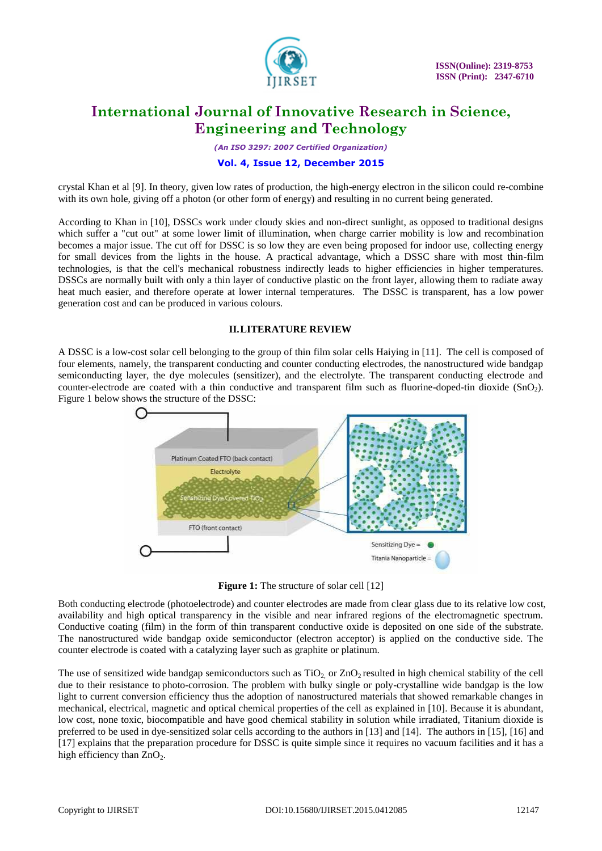

*(An ISO 3297: 2007 Certified Organization)*

### **Vol. 4, Issue 12, December 2015**

crystal Khan et al [9]. In theory, given low rates of production, the high-energy electron in the silicon could re-combine with its own hole, giving off a photon (or other form of energy) and resulting in no current being generated.

According to Khan in [10], DSSCs work under cloudy skies and non-direct sunlight, as opposed to traditional designs which suffer a "cut out" at some lower limit of illumination, when charge carrier mobility is low and recombination becomes a major issue. The cut off for DSSC is so low they are even being proposed for indoor use, collecting energy for small devices from the lights in the house. A practical advantage, which a DSSC share with most thin-film technologies, is that the cell's mechanical robustness indirectly leads to higher efficiencies in higher temperatures. DSSCs are normally built with only a thin layer of conductive plastic on the front layer, allowing them to radiate away heat much easier, and therefore operate at lower internal temperatures. The DSSC is transparent, has a low power generation cost and can be produced in various colours.

### **II.LITERATURE REVIEW**

A DSSC is a low-cost solar cell belonging to the group of thin film solar cells Haiying in [11]. The cell is composed of four elements, namely, the transparent conducting and counter conducting electrodes, the nanostructured wide bandgap semiconducting layer, the dye molecules (sensitizer), and the electrolyte. The transparent conducting electrode and counter-electrode are coated with a thin conductive and transparent film such as fluorine-doped-tin dioxide (SnO<sub>2</sub>). Figure 1 below shows the structure of the DSSC:



**Figure 1:** The structure of solar cell [12]

Both conducting electrode (photoelectrode) and counter electrodes are made from clear glass due to its relative low cost, availability and high optical transparency in the visible and near infrared regions of the electromagnetic spectrum. Conductive coating (film) in the form of thin transparent conductive oxide is deposited on one side of the substrate. The nanostructured wide bandgap oxide semiconductor (electron acceptor) is applied on the conductive side. The counter electrode is coated with a catalyzing layer such as graphite or platinum.

The use of sensitized wide bandgap semiconductors such as  $TiO<sub>2</sub>$  or  $ZnO<sub>2</sub>$  resulted in high chemical stability of the cell due to their resistance to photo-corrosion. The problem with bulky single or poly-crystalline wide bandgap is the low light to current conversion efficiency thus the adoption of nanostructured materials that showed remarkable changes in mechanical, electrical, magnetic and optical chemical properties of the cell as explained in [10]. Because it is abundant, low cost, none toxic, biocompatible and have good chemical stability in solution while irradiated, Titanium dioxide is preferred to be used in dye-sensitized solar cells according to the authors in [13] and [14]. The authors in [15], [16] and [17] explains that the preparation procedure for DSSC is quite simple since it requires no vacuum facilities and it has a high efficiency than  $ZnO<sub>2</sub>$ .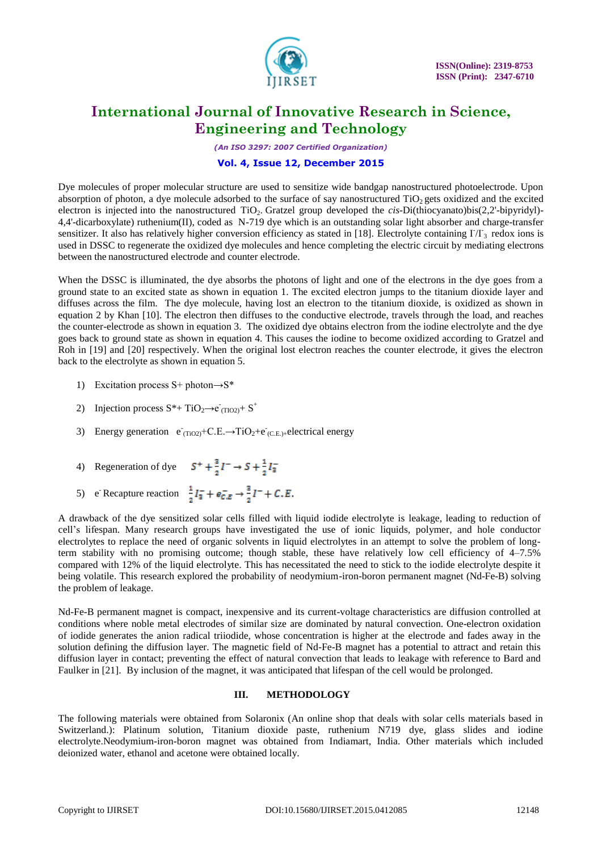

*(An ISO 3297: 2007 Certified Organization)*

### **Vol. 4, Issue 12, December 2015**

Dye molecules of proper molecular structure are used to sensitize wide bandgap nanostructured photoelectrode. Upon absorption of photon, a dye molecule adsorbed to the surface of say nanostructured  $TiO<sub>2</sub>$  gets oxidized and the excited electron is injected into the nanostructured TiO<sub>2</sub>. Gratzel group developed the *cis-Di(thiocyanato)bis(2,2'-bipyridyl*)-4,4'-dicarboxylate) ruthenium(II), coded as N-719 dye which is an outstanding solar light absorber and charge-transfer sensitizer. It also has relatively higher conversion efficiency as stated in [18]. Electrolyte containing  $1/T_3$  redox ions is used in DSSC to regenerate the oxidized dye molecules and hence completing the electric circuit by mediating electrons between the nanostructured electrode and counter electrode.

When the DSSC is illuminated, the dye absorbs the photons of light and one of the electrons in the dye goes from a ground state to an excited state as shown in equation 1. The excited electron jumps to the titanium dioxide layer and diffuses across the film. The dye molecule, having lost an electron to the titanium dioxide, is oxidized as shown in equation 2 by Khan [10]. The electron then diffuses to the conductive electrode, travels through the load, and reaches the counter-electrode as shown in equation 3. The oxidized dye obtains electron from the iodine electrolyte and the dye goes back to ground state as shown in equation 4. This causes the iodine to become oxidized according to Gratzel and Roh in [19] and [20] respectively. When the original lost electron reaches the counter electrode, it gives the electron back to the electrolyte as shown in equation 5.

- 1) Excitation process S+ photon $\rightarrow$ S\*
- 2) Injection process  $S^*$ + TiO<sub>2</sub> $\rightarrow$ e<sup>-</sup> $(TIO_2)$ + S<sup>+</sup>
- 3) Energy generation  $e^{\overline{(T_1O2)}}+C.E.\rightarrow TiO_2+e^{\overline{(C.E.)}+e}}$ electrical energy
- 4) Regeneration of dye  $S^+ + \frac{3}{2}I^- \rightarrow S + \frac{1}{2}I_{\overline{3}}$
- 5) e Recapture reaction

A drawback of the dye sensitized solar cells filled with liquid iodide electrolyte is leakage, leading to reduction of cell's lifespan. Many research groups have investigated the use of ionic liquids, polymer, and hole conductor electrolytes to replace the need of organic solvents in liquid electrolytes in an attempt to solve the problem of longterm stability with no promising outcome; though stable, these have relatively low cell efficiency of 4–7*.*5% compared with 12% of the liquid electrolyte. This has necessitated the need to stick to the iodide electrolyte despite it being volatile. This research explored the probability of neodymium-iron-boron permanent magnet (Nd-Fe-B) solving the problem of leakage.

Nd-Fe-B permanent magnet is compact, inexpensive and its current-voltage characteristics are diffusion controlled at conditions where noble metal electrodes of similar size are dominated by natural convection. One-electron oxidation of iodide generates the anion radical triiodide, whose concentration is higher at the electrode and fades away in the solution defining the diffusion layer. The magnetic field of Nd-Fe-B magnet has a potential to attract and retain this diffusion layer in contact; preventing the effect of natural convection that leads to leakage with reference to Bard and Faulker in [21]. By inclusion of the magnet, it was anticipated that lifespan of the cell would be prolonged.

#### **III. METHODOLOGY**

The following materials were obtained from Solaronix (An online shop that deals with solar cells materials based in Switzerland.): Platinum solution, Titanium dioxide paste, ruthenium N719 dye, glass slides and iodine electrolyte.Neodymium-iron-boron magnet was obtained from Indiamart, India. Other materials which included deionized water, ethanol and acetone were obtained locally.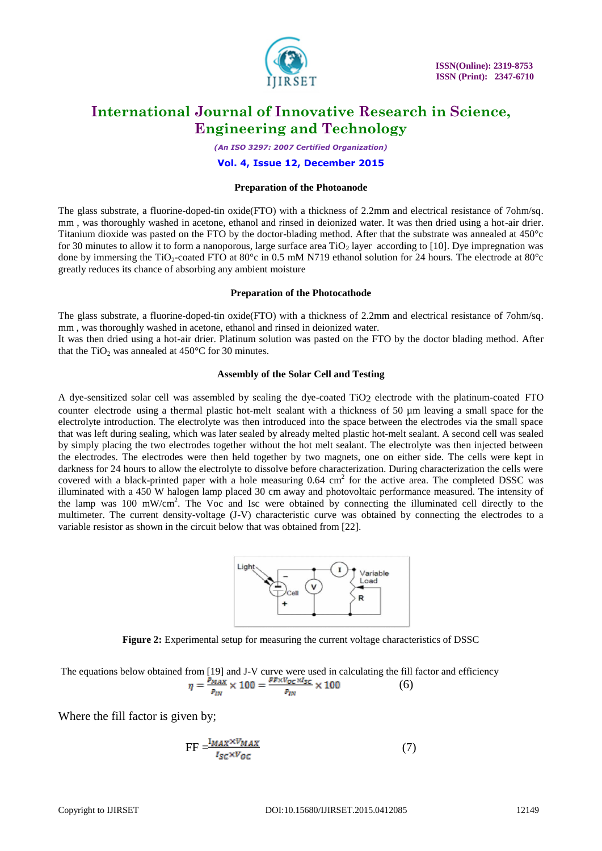

*(An ISO 3297: 2007 Certified Organization)*

**Vol. 4, Issue 12, December 2015**

#### **Preparation of the Photoanode**

The glass substrate, a fluorine-doped-tin oxide(FTO) with a thickness of 2.2mm and electrical resistance of 7ohm/sq. mm , was thoroughly washed in acetone, ethanol and rinsed in deionized water. It was then dried using a hot-air drier. Titanium dioxide was pasted on the FTO by the doctor-blading method. After that the substrate was annealed at 450°c for 30 minutes to allow it to form a nanoporous, large surface area  $TiO<sub>2</sub>$  layer according to [10]. Dye impregnation was done by immersing the TiO<sub>2</sub>-coated FTO at 80 $^{\circ}$ c in 0.5 mM N719 ethanol solution for 24 hours. The electrode at 80 $^{\circ}$ c greatly reduces its chance of absorbing any ambient moisture

#### **Preparation of the Photocathode**

The glass substrate, a fluorine-doped-tin oxide(FTO) with a thickness of 2.2mm and electrical resistance of 7ohm/sq. mm , was thoroughly washed in acetone, ethanol and rinsed in deionized water. It was then dried using a hot-air drier. Platinum solution was pasted on the FTO by the doctor blading method. After that the TiO<sub>2</sub> was annealed at  $450^{\circ}$ C for 30 minutes.

#### **Assembly of the Solar Cell and Testing**

A dye-sensitized solar cell was assembled by sealing the dye-coated TiO2 electrode with the platinum-coated FTO counter electrode using a thermal plastic hot-melt sealant with a thickness of 50  $\mu$ m leaving a small space for the electrolyte introduction. The electrolyte was then introduced into the space between the electrodes via the small space that was left during sealing, which was later sealed by already melted plastic hot-melt sealant. A second cell was sealed by simply placing the two electrodes together without the hot melt sealant. The electrolyte was then injected between the electrodes. The electrodes were then held together by two magnets, one on either side. The cells were kept in darkness for 24 hours to allow the electrolyte to dissolve before characterization. During characterization the cells were covered with a black-printed paper with a hole measuring  $0.64 \text{ cm}^2$  for the active area. The completed DSSC was illuminated with a 450 W halogen lamp placed 30 cm away and photovoltaic performance measured. The intensity of the lamp was 100 mW/cm<sup>2</sup> . The Voc and Isc were obtained by connecting the illuminated cell directly to the multimeter. The current density-voltage (J-V) characteristic curve was obtained by connecting the electrodes to a variable resistor as shown in the circuit below that was obtained from [22].



**Figure 2:** Experimental setup for measuring the current voltage characteristics of DSSC

The equations below obtained from [19] and J-V curve were used in calculating the fill factor and efficiency (6)

Where the fill factor is given by;

$$
FF = \frac{I_{MAX} \times V_{MAX}}{I_{SC} \times V_{OC}}
$$
 (7)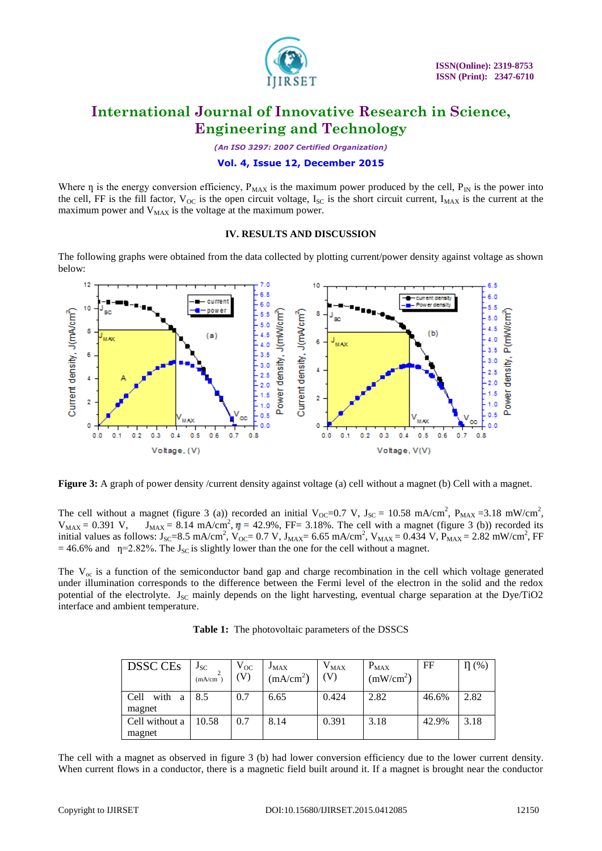

*(An ISO 3297: 2007 Certified Organization)*

### **Vol. 4, Issue 12, December 2015**

Where  $\eta$  is the energy conversion efficiency,  $P_{MAX}$  is the maximum power produced by the cell,  $P_{IN}$  is the power into the cell, FF is the fill factor,  $V_{OC}$  is the open circuit voltage,  $I_{SC}$  is the short circuit current,  $I_{MAX}$  is the current at the maximum power and  $V_{MAX}$  is the voltage at the maximum power.

#### **IV. RESULTS AND DISCUSSION**

The following graphs were obtained from the data collected by plotting current/power density against voltage as shown below:



**Figure 3:** A graph of power density /current density against voltage (a) cell without a magnet (b) Cell with a magnet.

The cell without a magnet (figure 3 (a)) recorded an initial  $V_{\text{OC}}=0.7 \text{ V}$ ,  $J_{\text{SC}}=10.58 \text{ mA/cm}^2$ ,  $P_{\text{MAX}}=3.18 \text{ mW/cm}^2$ ,  $V_{MAX} = 0.391$  V,  $J_{MAX} = 8.14$  mA/cm<sup>2</sup>,  $\eta = 42.9\%$ , FF= 3.18%. The cell with a magnet (figure 3 (b)) recorded its initial values as follows:  $J_{SC} = 8.5 \text{ mA/cm}^2$ ,  $V_{OC} = 0.7 \text{ V}$ ,  $J_{MAX} = 6.65 \text{ mA/cm}^2$ ,  $V_{MAX} = 0.434 \text{ V}$ ,  $P_{MAX} = 2.82 \text{ mW/cm}^2$ , FF  $= 46.6\%$  and  $\eta=2.82\%$ . The J<sub>SC</sub> is slightly lower than the one for the cell without a magnet.

The  $V_{\text{oc}}$  is a function of the semiconductor band gap and charge recombination in the cell which voltage generated under illumination corresponds to the difference between the Fermi level of the electron in the solid and the redox potential of the electrolyte.  $J_{SC}$  mainly depends on the light harvesting, eventual charge separation at the Dye/TiO2 interface and ambient temperature.

| Table 1: The photovoltaic parameters of the DSSCS |  |  |
|---------------------------------------------------|--|--|
|---------------------------------------------------|--|--|

| DSSC CEs            | $J_{SC}$<br>(mA/cm) | $\rm V_{OC}$<br>V) | $J_{MAX}$<br>(mA/cm <sup>2</sup> ) | $\rm V_{MAX}$<br>$\left( \mathrm{V}\right)$ | $P_{MAX}$<br>(mW/cm <sup>2</sup> ) | FF    | $\eta$ (%) |
|---------------------|---------------------|--------------------|------------------------------------|---------------------------------------------|------------------------------------|-------|------------|
| with<br>Cell<br>a a | 8.5                 | 0.7                | 6.65                               | 0.424                                       | 2.82                               | 46.6% | 2.82       |
| magnet              |                     |                    |                                    |                                             |                                    |       |            |
| Cell without a      | 10.58               | 0.7                | 8.14                               | 0.391                                       | 3.18                               | 42.9% | 3.18       |
| magnet              |                     |                    |                                    |                                             |                                    |       |            |

The cell with a magnet as observed in figure 3 (b) had lower conversion efficiency due to the lower current density. When current flows in a conductor, there is a magnetic field built around it. If a magnet is brought near the conductor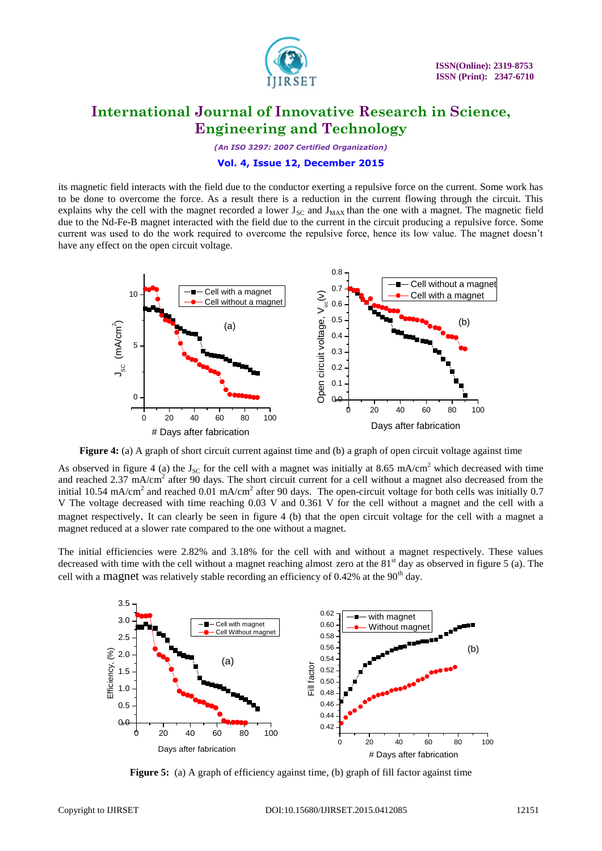

*(An ISO 3297: 2007 Certified Organization)*

### **Vol. 4, Issue 12, December 2015**

its magnetic field interacts with the field due to the conductor exerting a repulsive force on the current. Some work has to be done to overcome the force. As a result there is a reduction in the current flowing through the circuit. This explains why the cell with the magnet recorded a lower  $J_{SC}$  and  $J_{MAX}$  than the one with a magnet. The magnetic field due to the Nd-Fe-B magnet interacted with the field due to the current in the circuit producing a repulsive force. Some current was used to do the work required to overcome the repulsive force, hence its low value. The magnet doesn't have any effect on the open circuit voltage.



**Figure 4:** (a) A graph of short circuit current against time and (b) a graph of open circuit voltage against time

As observed in figure 4 (a) the  $J_{SC}$  for the cell with a magnet was initially at 8.65 mA/cm<sup>2</sup> which decreased with time and reached  $2.37 \text{ mA/cm}^2$  after 90 days. The short circuit current for a cell without a magnet also decreased from the initial 10.54 mA/cm<sup>2</sup> and reached 0.01 mA/cm<sup>2</sup> after 90 days. The open-circuit voltage for both cells was initially 0.7 V The voltage decreased with time reaching 0.03 V and 0.361 V for the cell without a magnet and the cell with a magnet respectively. It can clearly be seen in figure 4 (b) that the open circuit voltage for the cell with a magnet a magnet reduced at a slower rate compared to the one without a magnet.

The initial efficiencies were 2.82% and 3.18% for the cell with and without a magnet respectively. These values decreased with time with the cell without a magnet reaching almost zero at the  $81<sup>st</sup>$  day as observed in figure 5 (a). The cell with a magnet was relatively stable recording an efficiency of  $0.42\%$  at the  $90<sup>th</sup>$  day.



**Figure 5:** (a) A graph of efficiency against time, (b) graph of fill factor against time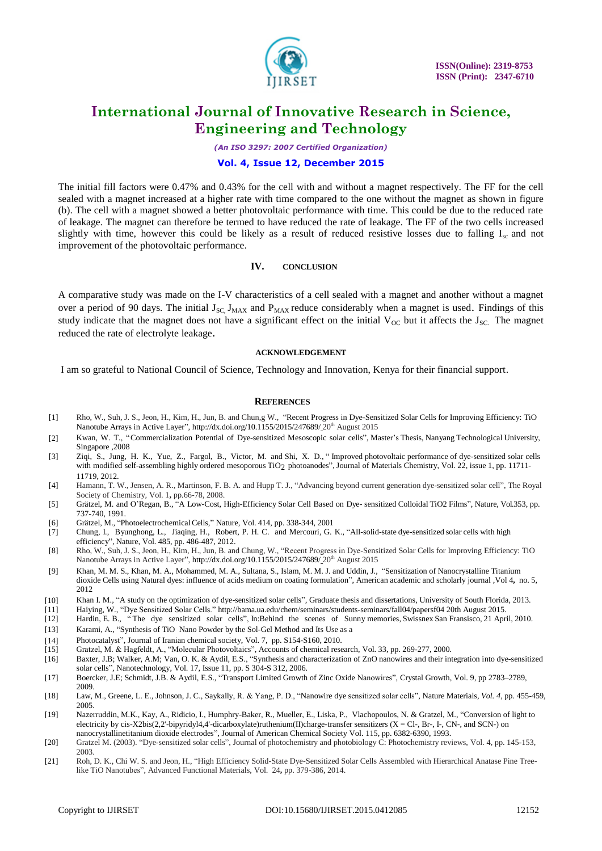

*(An ISO 3297: 2007 Certified Organization)*

### **Vol. 4, Issue 12, December 2015**

The initial fill factors were 0.47% and 0.43% for the cell with and without a magnet respectively. The FF for the cell sealed with a magnet increased at a higher rate with time compared to the one without the magnet as shown in figure (b). The cell with a magnet showed a better photovoltaic performance with time. This could be due to the reduced rate of leakage. The magnet can therefore be termed to have reduced the rate of leakage. The FF of the two cells increased slightly with time, however this could be likely as a result of reduced resistive losses due to falling  $I_{\rm sc}$  and not improvement of the photovoltaic performance.

#### **IV. CONCLUSION**

A comparative study was made on the I-V characteristics of a cell sealed with a magnet and another without a magnet over a period of 90 days. The initial  $J_{SC}$ ,  $J_{MAX}$  and  $P_{MAX}$  reduce considerably when a magnet is used. Findings of this study indicate that the magnet does not have a significant effect on the initial  $V_{OC}$  but it affects the  $J_{SC}$ . The magnet reduced the rate of electrolyte leakage.

#### **ACKNOWLEDGEMENT**

I am so grateful to National Council of Science, Technology and Innovation, Kenya for their financial support.

#### **REFERENCES**

- [1] Rho, W., Suh, J. S., Jeon, H., Kim, H., Jun, B. and Chun,g W., "Recent Progress in Dye-Sensitized Solar Cells for Improving Efficiency: TiO Nanotube Arrays in Active Layer", <http://dx.doi.org/10.1155/2015/247689/>20<sup>th</sup> August 2015
- [2] Kwan, W. T., "Commercialization Potential of Dye-sensitized Mesoscopic solar cells", Master's Thesis, Nanyang Technological University, Singapore ,2008
- [3] Ziqi, S., Jung, H. K., Yue, Z., Fargol, B., Victor, M. and Shi, X. D., " Improved photovoltaic performance of dye-sensitized solar cells with modified self-assembling highly ordered mesoporous TiO<sub>2</sub> photoanodes", Journal of Materials Chemistry, Vol. 22, issue 1, pp. 11711-11719, 2012.
- [4] Hamann, T. W., Jensen, A. R., Martinson, F. B. A. and Hupp T. J., "Advancing beyond current generation dye-sensitized solar cell", The Royal Society of Chemistry*,* Vol. 1**,** pp.66-78, 2008.
- [5] Grätzel, M. and O'Regan, B., "A Low-Cost, High-Efficiency Solar Cell Based on Dye- sensitized Colloidal TiO2 Films", Nature*,* Vol.353, pp. 737-740, 1991.
- [6] Grätzel, M., "PhotoelectrochemicalCells," Nature, Vol. 414, pp. 338-344, 2001
- [7] Chung, I., Byunghong, L., Jiaqing, H., Robert, P. H. C. and Mercouri, G. K., "All-solid-state dye-sensitized solar cells with high efficiency", Nature*,* Vol. 485, pp. 486-487, 2012.
- [8] Rho, W., Suh, J. S., Jeon, H., Kim, H., Jun, B. and Chung, W., "Recent Progress in Dye-Sensitized Solar Cells for Improving Efficiency: TiO Nanotube Arrays in Active Layer", <http://dx.doi.org/10.1155/2015/247689/>20<sup>th</sup> August 2015
- [9] Khan, M. M. S., Khan, M. A., Mohammed, M. A., Sultana, S., Islam, M. M. J. and Uddin, J., "Sensitization of Nanocrystalline Titanium dioxide Cells using Natural dyes: influence of acids medium on coating formulation", American academic and scholarly journal *,*Vol 4**,** no. 5, 2012
- [10] Khan I. M., "A study on the optimization of dye-sensitized solar cells"*,* Graduate thesis and dissertations, University of South Florida, 2013.
- [11] Haiying, W., "Dye Sensitized Solar Cells.[" http://bama.ua.edu/chem/seminars/students-seminars/fall04/papersf04](http://bama.ua.edu/chem/seminars/students-seminars/fall04/papersf04) 20th August 2015.
- [12] Hardin, E. B., " The dye sensitized solar cells", In:Behind the scenes of Sunny memories, Swissnex San Fransisco, 21 April, 2010.
- [13] Karami, A., "Synthesis of TiO Nano Powder by the Sol-Gel Method and Its Use as a
- [14] Photocatalyst", Journal of Iranian chemical society, Vol. 7, pp. S154-S160, 2010.
- 
- [15] Gratzel, M. & Hagfeldt, A., "Molecular Photovoltaics", Accounts of chemical research, Vol. 33, pp. 269-277, 2000. [16] Baxter, J.B; Walker, A.M; Van, O. K. & Aydil, E.S., "Synthesis and characterization of ZnO nanowires and their integration into dye-sensitized solar cells", Nanotechnology, Vol. 17, Issue 11, pp. S 304-S 312, 2006.
- [17] Boercker, J.E; Schmidt, J.B. & Aydil, E.S., "Transport Limited Growth of Zinc Oxide Nanowires", Crystal Growth, Vol. 9, pp 2783–2789, 2009.
- [18] Law, M., Greene, L. E., Johnson, J. C., Saykally, R. & Yang, P. D., "Nanowire dye sensitized solar cells", Nature Materials*, Vol. 4*, pp. 455-459, 2005.
- [19] Nazerruddin, M.K., Kay, A., Ridicio, I., Humphry-Baker, R., Mueller, E., Liska, P., Vlachopoulos, N. & Gratzel, M., "Conversion of light to electricity by cis-X2bis(2,2'-bipyridyl4,4'-dicarboxylate)ruthenium(II)charge-transfer sensitizers (X = Cl-, Br-, I-, CN-, and SCN-) on nanocrystallinetitanium dioxide electrodes", Journal of American Chemical Society Vol. 115, pp. 6382-6390, 1993.
- [20] Gratzel M. (2003). "Dye-sensitized solar cells", Journal of photochemistry and photobiology C: Photochemistry reviews, Vol. 4, pp. 145-153, 2003.
- [21] Roh, D. K., Chi W. S. and Jeon, H., "High Efficiency Solid-State Dye-Sensitized Solar Cells Assembled with Hierarchical Anatase Pine Treelike TiO Nanotubes", Advanced Functional Materials, Vol. 24**,** pp. 379-386, 2014.